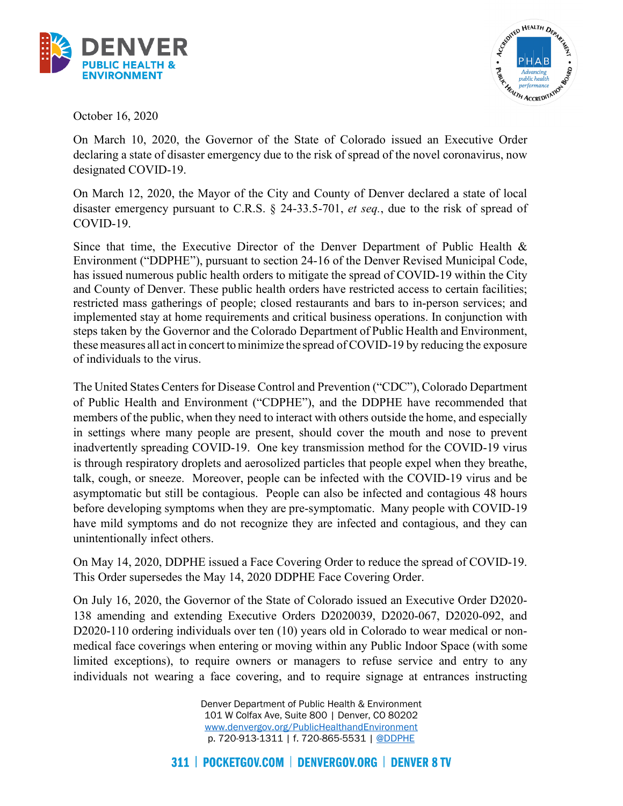



October 16, 2020

On March 10, 2020, the Governor of the State of Colorado issued an Executive Order declaring a state of disaster emergency due to the risk of spread of the novel coronavirus, now designated COVID-19.

On March 12, 2020, the Mayor of the City and County of Denver declared a state of local disaster emergency pursuant to C.R.S. § 24-33.5-701, *et seq.*, due to the risk of spread of COVID-19.

 steps taken by the Governor and the Colorado Department of Public Health and Environment, these measures all act in concert to minimize the spread of COVID-19 by reducing the exposure of individuals to the virus. Since that time, the Executive Director of the Denver Department of Public Health & Environment ("DDPHE"), pursuant to section 24-16 of the Denver Revised Municipal Code, has issued numerous public health orders to mitigate the spread of COVID-19 within the City and County of Denver. These public health orders have restricted access to certain facilities; restricted mass gatherings of people; closed restaurants and bars to in-person services; and implemented stay at home requirements and critical business operations. In conjunction with

 talk, cough, or sneeze. Moreover, people can be infected with the COVID-19 virus and be The United States Centers for Disease Control and Prevention ("CDC"), Colorado Department of Public Health and Environment ("CDPHE"), and the DDPHE have recommended that members of the public, when they need to interact with others outside the home, and especially in settings where many people are present, should cover the mouth and nose to prevent inadvertently spreading COVID-19. One key transmission method for the COVID-19 virus is through respiratory droplets and aerosolized particles that people expel when they breathe, asymptomatic but still be contagious. People can also be infected and contagious 48 hours before developing symptoms when they are pre-symptomatic. Many people with COVID-19 have mild symptoms and do not recognize they are infected and contagious, and they can unintentionally infect others.

On May 14, 2020, DDPHE issued a Face Covering Order to reduce the spread of COVID-19. This Order supersedes the May 14, 2020 DDPHE Face Covering Order.

On July 16, 2020, the Governor of the State of Colorado issued an Executive Order D2020- 138 amending and extending Executive Orders D2020039, D2020-067, D2020-092, and D2020-110 ordering individuals over ten (10) years old in Colorado to wear medical or nonmedical face coverings when entering or moving within any Public Indoor Space (with some limited exceptions), to require owners or managers to refuse service and entry to any individuals not wearing a face covering, and to require signage at entrances instructing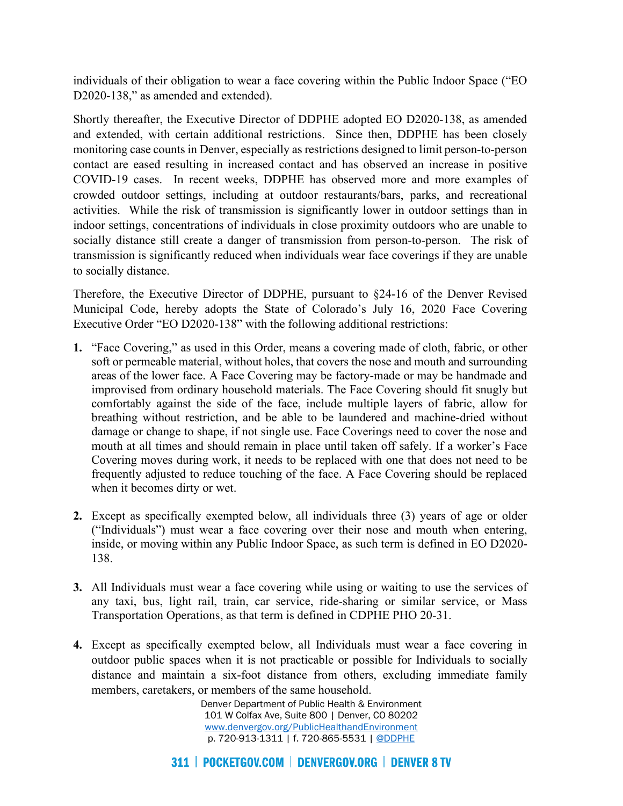individuals of their obligation to wear a face covering within the Public Indoor Space ("EO D2020-138," as amended and extended).

 COVID-19 cases. In recent weeks, DDPHE has observed more and more examples of Shortly thereafter, the Executive Director of DDPHE adopted EO D2020-138, as amended and extended, with certain additional restrictions. Since then, DDPHE has been closely monitoring case counts in Denver, especially as restrictions designed to limit person-to-person contact are eased resulting in increased contact and has observed an increase in positive crowded outdoor settings, including at outdoor restaurants/bars, parks, and recreational activities. While the risk of transmission is significantly lower in outdoor settings than in indoor settings, concentrations of individuals in close proximity outdoors who are unable to socially distance still create a danger of transmission from person-to-person. The risk of transmission is significantly reduced when individuals wear face coverings if they are unable to socially distance.

Therefore, the Executive Director of DDPHE, pursuant to §24-16 of the Denver Revised Municipal Code, hereby adopts the State of Colorado's July 16, 2020 Face Covering Executive Order "EO D2020-138" with the following additional restrictions:

- **1.** "Face Covering," as used in this Order, means a covering made of cloth, fabric, or other breathing without restriction, and be able to be laundered and machine-dried without mouth at all times and should remain in place until taken off safely. If a worker's Face when it becomes dirty or wet. soft or permeable material, without holes, that covers the nose and mouth and surrounding areas of the lower face. A Face Covering may be factory-made or may be handmade and improvised from ordinary household materials. The Face Covering should fit snugly but comfortably against the side of the face, include multiple layers of fabric, allow for damage or change to shape, if not single use. Face Coverings need to cover the nose and Covering moves during work, it needs to be replaced with one that does not need to be frequently adjusted to reduce touching of the face. A Face Covering should be replaced
- **2.** Except as specifically exempted below, all individuals three (3) years of age or older ("Individuals") must wear a face covering over their nose and mouth when entering, inside, or moving within any Public Indoor Space, as such term is defined in EO D2020- 138.
- **3.** All Individuals must wear a face covering while using or waiting to use the services of any taxi, bus, light rail, train, car service, ride-sharing or similar service, or Mass Transportation Operations, as that term is defined in CDPHE PHO 20-31.
- **4.** Except as specifically exempted below, all Individuals must wear a face covering in outdoor public spaces when it is not practicable or possible for Individuals to socially distance and maintain a six-foot distance from others, excluding immediate family members, caretakers, or members of the same household.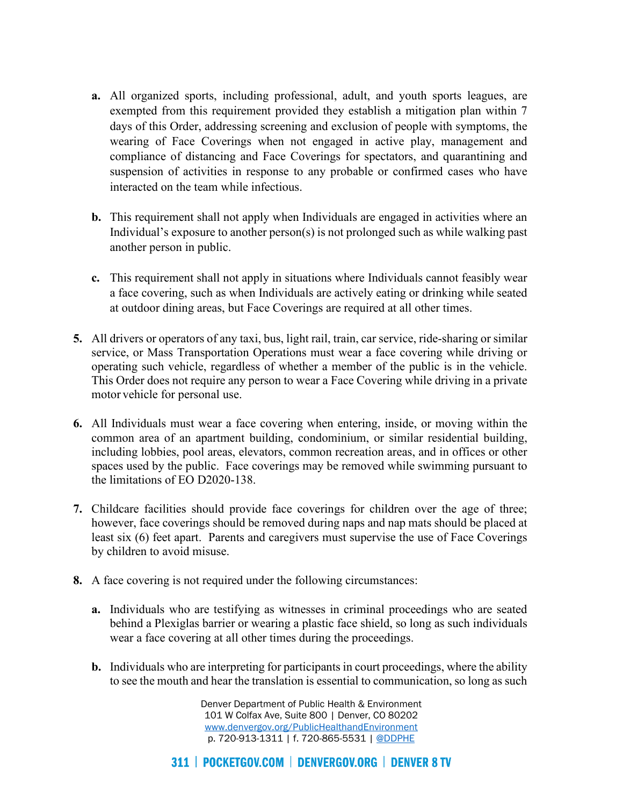- **a.** All organized sports, including professional, adult, and youth sports leagues, are exempted from this requirement provided they establish a mitigation plan within 7 days of this Order, addressing screening and exclusion of people with symptoms, the wearing of Face Coverings when not engaged in active play, management and compliance of distancing and Face Coverings for spectators, and quarantining and suspension of activities in response to any probable or confirmed cases who have interacted on the team while infectious.
- **b.** This requirement shall not apply when Individuals are engaged in activities where an Individual's exposure to another person(s) is not prolonged such as while walking past another person in public.
- **c.** This requirement shall not apply in situations where Individuals cannot feasibly wear a face covering, such as when Individuals are actively eating or drinking while seated at outdoor dining areas, but Face Coverings are required at all other times.
- service, or Mass Transportation Operations must wear a face covering while driving or operating such vehicle, regardless of whether a member of the public is in the vehicle. **5.** All drivers or operators of any taxi, bus, light rail, train, car service, ride-sharing or similar This Order does not require any person to wear a Face Covering while driving in a private motor vehicle for personal use.
- **6.** All Individuals must wear a face covering when entering, inside, or moving within the common area of an apartment building, condominium, or similar residential building, including lobbies, pool areas, elevators, common recreation areas, and in offices or other spaces used by the public. Face coverings may be removed while swimming pursuant to the limitations of EO D2020-138.
- **7.** Childcare facilities should provide face coverings for children over the age of three; however, face coverings should be removed during naps and nap mats should be placed at least six (6) feet apart. Parents and caregivers must supervise the use of Face Coverings by children to avoid misuse.
- **8.** A face covering is not required under the following circumstances:
	- wear a face covering at all other times during the proceedings. **a.** Individuals who are testifying as witnesses in criminal proceedings who are seated behind a Plexiglas barrier or wearing a plastic face shield, so long as such individuals
	- **b.** Individuals who are interpreting for participants in court proceedings, where the ability to see the mouth and hear the translation is essential to communication, so long as such